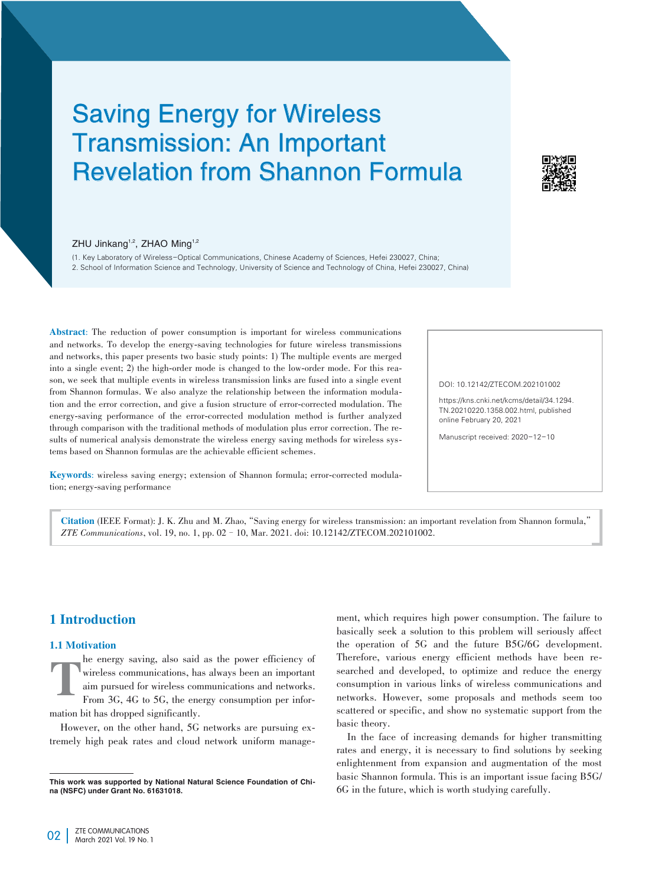# Saving Energy for Wireless Transmission: An Important Revelation from Shannon Formula



#### ZHU Jinkang<sup>1,2</sup>, ZHAO Ming<sup>1,2</sup>

(1. Key Laboratory of Wireless-Optical Communications, Chinese Academy of Sciences, Hefei 230027, China; 2. School of Information Science and Technology, University of Science and Technology of China, Hefei 230027, China)

Abstract: The reduction of power consumption is important for wireless communications and networks. To develop the energy-saving technologies for future wireless transmissions and networks, this paper presents two basic study points: 1) The multiple events are merged into a single event; 2) the high-order mode is changed to the low-order mode. For this reason, we seek that multiple events in wireless transmission links are fused into a single event from Shannon formulas. We also analyze the relationship between the information modulation and the error correction, and give a fusion structure of error-corrected modulation. The energy-saving performance of the error-corrected modulation method is further analyzed through comparison with the traditional methods of modulation plus error correction. The results of numerical analysis demonstrate the wireless energy saving methods for wireless systems based on Shannon formulas are the achievable efficient schemes.

Keywords: wireless saving energy; extension of Shannon formula; error-corrected modulation; energy-saving performance

#### DOI: 10.12142/ZTECOM.202101002

https://kns.cnki.net/kcms/detail/34.1294. TN.20210220.1358.002.html, published online February 20, 2021

Manuscript received: 2020-12-10

Citation (IEEE Format): J. K. Zhu and M. Zhao,"Saving energy for wireless transmission: an important revelation from Shannon formula," *ZTE Communications*, vol. 19, no. 1, pp. 02–10, Mar. 2021. doi: 10.12142/ZTECOM.202101002.

# 1 Introduction

#### 1.1 Motivation

T he energy saving, also said as the power efficiency of wireless communications, has always been an important aim pursued for wireless communications and networks. From 3G, 4G to 5G, the energy consumption per information bit has dropped significantly.

However, on the other hand, 5G networks are pursuing extremely high peak rates and cloud network uniform manage-

ment, which requires high power consumption. The failure to basically seek a solution to this problem will seriously affect the operation of 5G and the future B5G/6G development. Therefore, various energy efficient methods have been re⁃ searched and developed, to optimize and reduce the energy consumption in various links of wireless communications and networks. However, some proposals and methods seem too scattered or specific, and show no systematic support from the basic theory.

In the face of increasing demands for higher transmitting rates and energy, it is necessary to find solutions by seeking enlightenment from expansion and augmentation of the most basic Shannon formula. This is an important issue facing B5G/ 6G in the future, which is worth studying carefully.

This work was supported by National Natural Science Foundation of China (NSFC) under Grant No. 61631018.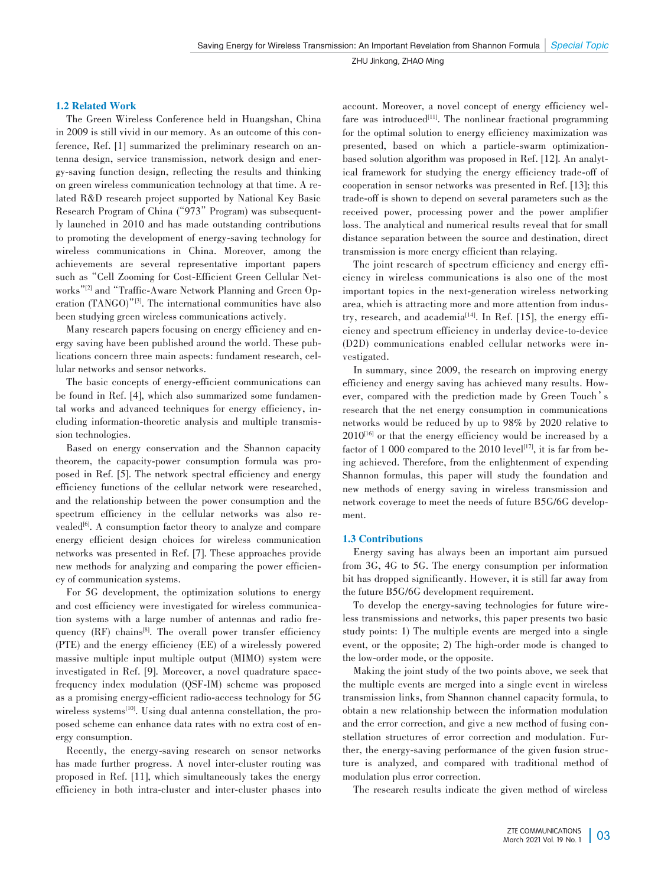#### 1.2 Related Work

The Green Wireless Conference held in Huangshan, China in 2009 is still vivid in our memory. As an outcome of this conference, Ref. [1] summarized the preliminary research on antenna design, service transmission, network design and energy-saving function design, reflecting the results and thinking on green wireless communication technology at that time. A related R&D research project supported by National Key Basic Research Program of China ("973" Program) was subsequently launched in 2010 and has made outstanding contributions to promoting the development of energy-saving technology for wireless communications in China. Moreover, among the achievements are several representative important papers such as "Cell Zooming for Cost-Efficient Green Cellular Networks"<sup>[2]</sup> and "Traffic-Aware Network Planning and Green Operation (TANGO)"[3] . The international communities have also been studying green wireless communications actively.

Many research papers focusing on energy efficiency and energy saving have been published around the world. These publications concern three main aspects: fundament research, cellular networks and sensor networks.

The basic concepts of energy-efficient communications can be found in Ref. [4], which also summarized some fundamental works and advanced techniques for energy efficiency, including information-theoretic analysis and multiple transmission technologies.

Based on energy conservation and the Shannon capacity theorem, the capacity-power consumption formula was proposed in Ref. [5]. The network spectral efficiency and energy efficiency functions of the cellular network were researched, and the relationship between the power consumption and the spectrum efficiency in the cellular networks was also revealed<sup>[6]</sup>. A consumption factor theory to analyze and compare energy efficient design choices for wireless communication networks was presented in Ref. [7]. These approaches provide new methods for analyzing and comparing the power efficiency of communication systems.

For 5G development, the optimization solutions to energy and cost efficiency were investigated for wireless communication systems with a large number of antennas and radio frequency (RF) chains<sup>[8]</sup>. The overall power transfer efficiency (PTE) and the energy efficiency (EE) of a wirelessly powered massive multiple input multiple output (MIMO) system were investigated in Ref. [9]. Moreover, a novel quadrature spacefrequency index modulation (QSF-IM) scheme was proposed as a promising energy-efficient radio-access technology for 5G wireless systems<sup>[10]</sup>. Using dual antenna constellation, the proposed scheme can enhance data rates with no extra cost of energy consumption.

Recently, the energy-saving research on sensor networks has made further progress. A novel inter-cluster routing was proposed in Ref. [11], which simultaneously takes the energy efficiency in both intra-cluster and inter-cluster phases into account. Moreover, a novel concept of energy efficiency welfare was introduced<sup>[11]</sup>. The nonlinear fractional programming for the optimal solution to energy efficiency maximization was presented, based on which a particle-swarm optimizationbased solution algorithm was proposed in Ref. [12]. An analytical framework for studying the energy efficiency trade-off of cooperation in sensor networks was presented in Ref. [13]; this trade-off is shown to depend on several parameters such as the received power, processing power and the power amplifier loss. The analytical and numerical results reveal that for small distance separation between the source and destination, direct transmission is more energy efficient than relaying.

The joint research of spectrum efficiency and energy efficiency in wireless communications is also one of the most important topics in the next-generation wireless networking area, which is attracting more and more attention from industry, research, and academia $14$ <sup>[4]</sup>. In Ref. [15], the energy efficiency and spectrum efficiency in underlay device-to-device (D2D) communications enabled cellular networks were investigated.

In summary, since 2009, the research on improving energy efficiency and energy saving has achieved many results. However, compared with the prediction made by Green Touch's research that the net energy consumption in communications networks would be reduced by up to 98% by 2020 relative to  $2010^{[16]}$  or that the energy efficiency would be increased by a factor of 1 000 compared to the  $2010 \text{ level}^{[17]}$ , it is far from being achieved. Therefore, from the enlightenment of expending Shannon formulas, this paper will study the foundation and new methods of energy saving in wireless transmission and network coverage to meet the needs of future B5G/6G development.

## 1.3 Contributions

Energy saving has always been an important aim pursued from 3G, 4G to 5G. The energy consumption per information bit has dropped significantly. However, it is still far away from the future B5G/6G development requirement.

To develop the energy-saving technologies for future wire less transmissions and networks, this paper presents two basic study points: 1) The multiple events are merged into a single event, or the opposite; 2) The high-order mode is changed to the low-order mode, or the opposite.

Making the joint study of the two points above, we seek that the multiple events are merged into a single event in wireless transmission links, from Shannon channel capacity formula, to obtain a new relationship between the information modulation and the error correction, and give a new method of fusing constellation structures of error correction and modulation. Further, the energy-saving performance of the given fusion structure is analyzed, and compared with traditional method of modulation plus error correction.

The research results indicate the given method of wireless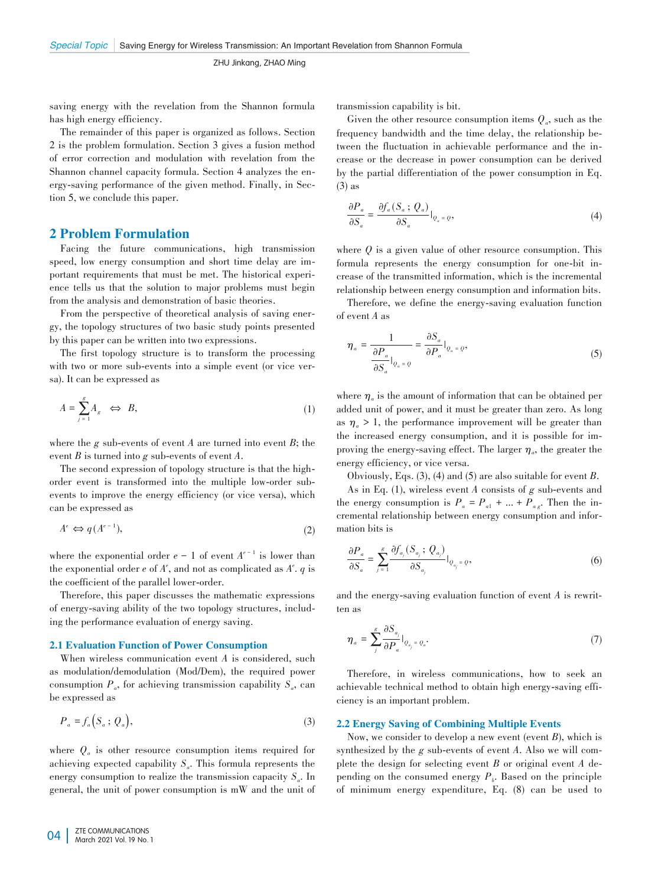saving energy with the revelation from the Shannon formula has high energy efficiency.

The remainder of this paper is organized as follows. Section 2 is the problem formulation. Section 3 gives a fusion method of error correction and modulation with revelation from the Shannon channel capacity formula. Section 4 analyzes the energy-saving performance of the given method. Finally, in Section 5, we conclude this paper.

## 2 Problem Formulation

Facing the future communications, high transmission speed, low energy consumption and short time delay are important requirements that must be met. The historical experience tells us that the solution to major problems must begin from the analysis and demonstration of basic theories.

From the perspective of theoretical analysis of saving energy, the topology structures of two basic study points presented by this paper can be written into two expressions.

The first topology structure is to transform the processing with two or more sub-events into a simple event (or vice versa). It can be expressed as

$$
A = \sum_{j=1}^{g} A_g \iff B,\tag{1}
$$

where the *g* sub-events of event *A* are turned into event *B*; the event *B* is turned into *g* sub-events of event *A*.

The second expression of topology structure is that the highorder event is transformed into the multiple low-order subevents to improve the energy efficiency (or vice versa), which can be expressed as

$$
A^e \Leftrightarrow q(A^{e-1}),\tag{2}
$$

where the exponential order  $e - 1$  of event  $A^{e-1}$  is lower than the exponential order  $e$  of  $A^e$ , and not as complicated as  $A^e$ .  $q$  is the coefficient of the parallel lower-order.

Therefore, this paper discusses the mathematic expressions of energy-saving ability of the two topology structures, including the performance evaluation of energy saving.

#### 2.1 Evaluation Function of Power Consumption

When wireless communication event *A* is considered, such as modulation/demodulation (Mod/Dem), the required power consumption  $P_a$ , for achieving transmission capability  $S_a$ , can be expressed as

$$
P_a = f_a(S_a; Q_a), \tag{3}
$$

where  $Q_a$  is other resource consumption items required for achieving expected capability  $S_a$ . This formula represents the energy consumption to realize the transmission capacity  $S_a$ . In general, the unit of power consumption is mW and the unit of transmission capability is bit.

Given the other resource consumption items  $Q_a$ , such as the frequency bandwidth and the time delay, the relationship be⁃ tween the fluctuation in achievable performance and the increase or the decrease in power consumption can be derived by the partial differentiation of the power consumption in Eq. (3) as

$$
\frac{\partial P_a}{\partial S_a} = \frac{\partial f_a(S_a; Q_a)}{\partial S_a} \Big|_{Q_a = Q},\tag{4}
$$

where  $Q$  is a given value of other resource consumption. This formula represents the energy consumption for one-bit increase of the transmitted information, which is the incremental relationship between energy consumption and information bits.

Therefore, we define the energy-saving evaluation function of event *A* as

$$
\eta_a = \frac{1}{\frac{\partial P_a}{\partial S_a}|_{Q_a = Q}} = \frac{\partial S_a}{\partial P_a}|_{Q_a = Q},\tag{5}
$$

where  $\eta_a$  is the amount of information that can be obtained per added unit of power, and it must be greater than zero. As long as  $\eta_a > 1$ , the performance improvement will be greater than the increased energy consumption, and it is possible for improving the energy-saving effect. The larger  $\eta_a$ , the greater the energy efficiency, or vice versa.

Obviously, Eqs. (3), (4) and (5) are also suitable for event *B*.

As in Eq. (1), wireless event *A* consists of *g* sub-events and the energy consumption is  $P_a = P_{a1} + ... + P_{a g}$ . Then the incremental relationship between energy consumption and information bits is

$$
\frac{\partial P_a}{\partial S_a} = \sum_{j=1}^g \frac{\partial f_{a_j}(S_{a_j}; Q_{a_j})}{\partial S_{a_j}}|_{Q_{a_j} = Q},
$$
\n(6)

and the energy-saving evaluation function of event *A* is rewritten as

$$
\eta_a = \sum_{j}^{g} \frac{\partial S_{a_j}}{\partial P_a} \big|_{Q_{a_j} = Q_a}.\tag{7}
$$

Therefore, in wireless communications, how to seek an achievable technical method to obtain high energy-saving efficiency is an important problem.

## 2.2 Energy Saving of Combining Multiple Events

Now, we consider to develop a new event (event *B*), which is synthesized by the *g* sub-events of event *A*. Also we will complete the design for selecting event *B* or original event *A* de⁃ pending on the consumed energy  $P<sub>b</sub>$ . Based on the principle of minimum energy expenditure, Eq. (8) can be used to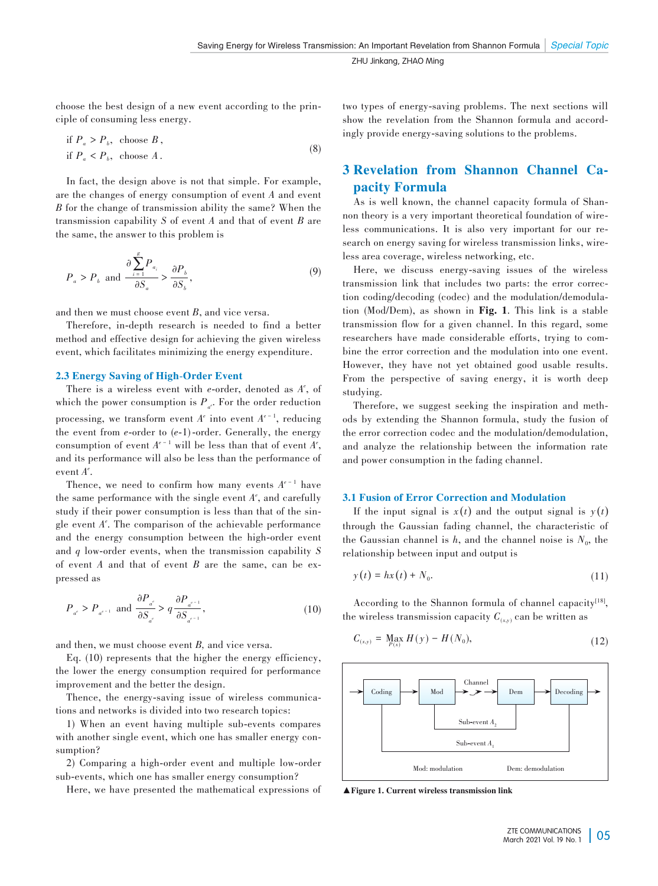choose the best design of a new event according to the principle of consuming less energy.

if 
$$
P_a > P_b
$$
, choose *B*,  
if  $P_a < P_b$ , choose *A*. (8)

In fact, the design above is not that simple. For example, are the changes of energy consumption of event *A* and event *B* for the change of transmission ability the same? When the transmission capability *S* of event *A* and that of event *B* are the same, the answer to this problem is

$$
P_a > P_b \text{ and } \frac{\partial \sum_{i=1}^g P_{a_i}}{\partial S_a} > \frac{\partial P_b}{\partial S_b},
$$
\n
$$
(9)
$$

and then we must choose event *B*, and vice versa.

Therefore, in-depth research is needed to find a better method and effective design for achieving the given wireless event, which facilitates minimizing the energy expenditure.

#### 2.3 Energy Saving of High-Order Event

There is a wireless event with *e*-order, denoted as  $A^e$ , of which the power consumption is  $P_{a^e}$ . For the order reduction processing, we transform event  $A^e$  into event  $A^{e-1}$ , reducing the event from *e*-order to (*e*-1)-order. Generally, the energy consumption of event  $A^{e-1}$  will be less than that of event  $A^e$ , and its performance will also be less than the performance of event *Ae* .

Thence, we need to confirm how many events  $A^{e^{-1}}$  have the same performance with the single event  $A^e$ , and carefully study if their power consumption is less than that of the single event *Ae* . The comparison of the achievable performance and the energy consumption between the high-order event and *q* low-order events, when the transmission capability *S* of event *A* and that of event *B* are the same, can be ex⁃ pressed as

$$
P_{a^c} > P_{a^{c-1}} \text{ and } \frac{\partial P_{a^c}}{\partial S_{a^c}} > q \frac{\partial P_{a^{c-1}}}{\partial S_{a^{c-1}}},
$$
\n(10)

and then, we must choose event *B,* and vice versa.

Eq. (10) represents that the higher the energy efficiency, the lower the energy consumption required for performance improvement and the better the design.

Thence, the energy-saving issue of wireless communications and networks is divided into two research topics:

1) When an event having multiple sub-events compares with another single event, which one has smaller energy consumption?

2) Comparing a high-order event and multiple low-order sub-events, which one has smaller energy consumption?

Here, we have presented the mathematical expressions of

two types of energy-saving problems. The next sections will show the revelation from the Shannon formula and accordingly provide energy-saving solutions to the problems.

# 3 Revelation from Shannon Channel Ca⁃ pacity Formula

As is well known, the channel capacity formula of Shannon theory is a very important theoretical foundation of wireless communications. It is also very important for our research on energy saving for wireless transmission links, wireless area coverage, wireless networking, etc.

Here, we discuss energy-saving issues of the wireless transmission link that includes two parts: the error correction coding/decoding (codec) and the modulation/demodulation (Mod/Dem), as shown in Fig. 1. This link is a stable transmission flow for a given channel. In this regard, some researchers have made considerable efforts, trying to combine the error correction and the modulation into one event. However, they have not yet obtained good usable results. From the perspective of saving energy, it is worth deep studying.

Therefore, we suggest seeking the inspiration and methods by extending the Shannon formula, study the fusion of the error correction codec and the modulation/demodulation, and analyze the relationship between the information rate and power consumption in the fading channel.

#### 3.1 Fusion of Error Correction and Modulation

If the input signal is  $x(t)$  and the output signal is  $y(t)$ through the Gaussian fading channel, the characteristic of the Gaussian channel is  $h$ , and the channel noise is  $N_0$ , the relationship between input and output is

$$
y(t) = hx(t) + N_0.
$$
\n(11)

According to the Shannon formula of channel capacity<sup>[18]</sup>, the wireless transmission capacity  $C_{(xx)}$  can be written as

$$
C_{(x,y)} = \max_{P(x)} H(y) - H(N_0), \qquad (12)
$$



▲Figure 1. Current wireless transmission link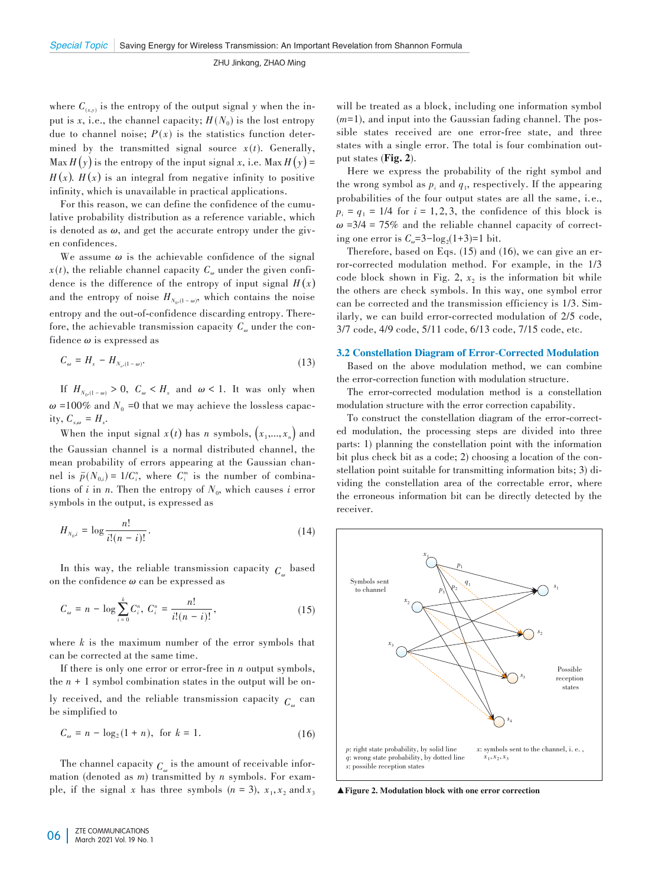where  $C_{(x,y)}$  is the entropy of the output signal *y* when the input is *x*, i.e., the channel capacity;  $H(N_0)$  is the lost entropy due to channel noise;  $P(x)$  is the statistics function determined by the transmitted signal source  $x(t)$ . Generally, Max  $H(y)$  is the entropy of the input signal *x*, i.e. Max  $H(y)$  =  $H(x)$ .  $H(x)$  is an integral from negative infinity to positive infinity, which is unavailable in practical applications.

For this reason, we can define the confidence of the cumulative probability distribution as a reference variable, which is denoted as  $\omega$ , and get the accurate entropy under the given confidences.

We assume  $\omega$  is the achievable confidence of the signal  $x(t)$ , the reliable channel capacity  $C_{\omega}$  under the given confidence is the difference of the entropy of input signal  $H(x)$ and the entropy of noise  $H_{N_0,(1-\omega)}$ , which contains the noise entropy and the out-of-confidence discarding entropy. Therefore, the achievable transmission capacity  $C_{\omega}$  under the confidence *ω* is expressed as

$$
C_{\omega} = H_{\alpha} - H_{N_o, (1 - \omega)}.\tag{13}
$$

If  $H_{N_0(1-\omega)} > 0$ ,  $C_{\omega} < H_x$  and  $\omega < 1$ . It was only when  $\omega$  =100% and  $N_0$  =0 that we may achieve the lossless capacity,  $C_{x,\omega} = H_x$ .

When the input signal  $x(t)$  has *n* symbols,  $(x_1,...,x_n)$  and the Gaussian channel is a normal distributed channel, the mean probability of errors appearing at the Gaussian channel is  $\bar{p}(N_{0,i}) = 1/C_i^n$ , where  $C_i^m$  is the number of combinations of *i* in *n*. Then the entropy of  $N_0$ , which causes *i* error symbols in the output, is expressed as

$$
H_{N_0,i} = \log \frac{n!}{i!(n-i)!}.
$$
 (14)

In this way, the reliable transmission capacity  $C_{\alpha}$  based on the confidence *ω* can be expressed as

$$
C_{\omega} = n - \log \sum_{i=0}^{k} C_i^n, \ C_i^n = \frac{n!}{i!(n-i)!}, \tag{15}
$$

where *k* is the maximum number of the error symbols that can be corrected at the same time.

If there is only one error or error-free in *n* output symbols, the  $n + 1$  symbol combination states in the output will be only received, and the reliable transmission capacity  $C_{\mu}$  can be simplified to

$$
C_{\omega} = n - \log_2(1 + n), \text{ for } k = 1.
$$
 (16)

The channel capacity  $C_{\omega}$  is the amount of receivable information (denoted as *m*) transmitted by *n* symbols. For example, if the signal *x* has three symbols  $(n = 3)$ ,  $x_1, x_2$  and  $x_3$ 

will be treated as a block, including one information symbol (*m*=1), and input into the Gaussian fading channel. The possible states received are one error-free state, and three states with a single error. The total is four combination output states (Fig. 2).

Here we express the probability of the right symbol and the wrong symbol as  $p_i$  and  $q_1$ , respectively. If the appearing probabilities of the four output states are all the same, i. e.,  $p_i = q_1 = 1/4$  for  $i = 1, 2, 3$ , the confidence of this block is  $\omega$  =3/4 = 75% and the reliable channel capacity of correcting one error is  $C_{\omega} = 3 - \log_2(1+3) = 1$  bit.

Therefore, based on Eqs.  $(15)$  and  $(16)$ , we can give an error-corrected modulation method. For example, in the 1/3 code block shown in Fig. 2,  $x<sub>2</sub>$  is the information bit while the others are check symbols. In this way, one symbol error can be corrected and the transmission efficiency is  $1/3$ . Similarly, we can build error-corrected modulation of 2/5 code, 3/7 code, 4/9 code, 5/11 code, 6/13 code, 7/15 code, etc.

#### 3.2 Constellation Diagram of Error-Corrected Modulation

Based on the above modulation method, we can combine the error-correction function with modulation structure.

The error-corrected modulation method is a constellation modulation structure with the error correction capability.

To construct the constellation diagram of the error-corrected modulation, the processing steps are divided into three parts: 1) planning the constellation point with the information bit plus check bit as a code; 2) choosing a location of the constellation point suitable for transmitting information bits; 3) dividing the constellation area of the correctable error, where the erroneous information bit can be directly detected by the receiver.



▲Figure 2. Modulation block with one error correction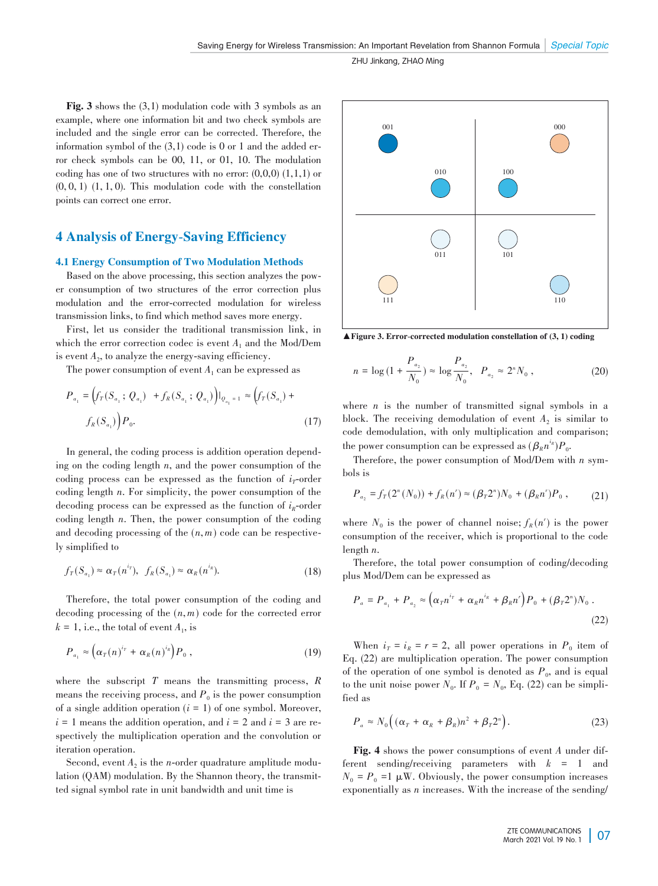Fig. 3 shows the (3,1) modulation code with 3 symbols as an example, where one information bit and two check symbols are included and the single error can be corrected. Therefore, the information symbol of the  $(3,1)$  code is 0 or 1 and the added error check symbols can be 00, 11, or 01, 10. The modulation coding has one of two structures with no error:  $(0,0,0)$   $(1,1,1)$  or  $(0, 0, 1)$   $(1, 1, 0)$ . This modulation code with the constellation points can correct one error.

# 4 Analysis of Energy-Saving Efficiency

## 4.1 Energy Consumption of Two Modulation Methods

Based on the above processing, this section analyzes the power consumption of two structures of the error correction plus modulation and the error-corrected modulation for wireless transmission links, to find which method saves more energy.

First, let us consider the traditional transmission link, in which the error correction codec is event *A*<sup>1</sup> and the Mod/Dem is event  $A_2$ , to analyze the energy-saving efficiency.

The power consumption of event  $A_1$  can be expressed as

$$
P_{a_1} = (f_T(S_{a_1}; Q_{a_1}) + f_R(S_{a_1}; Q_{a_1}))|_{Q_{a_1} = 1} \approx (f_T(S_{a_1}) + f_R(S_{a_1}))P_0.
$$
\n(17)

In general, the coding process is addition operation depending on the coding length *n*, and the power consumption of the coding process can be expressed as the function of  $i<sub>T</sub>$ -order coding length *n*. For simplicity, the power consumption of the decoding process can be expressed as the function of  $i_R$ -order coding length *n*. Then, the power consumption of the coding and decoding processing of the  $(n, m)$  code can be respectively simplified to

$$
f_T(S_{a_1}) \approx \alpha_T(n^{i\tau}), \quad f_R(S_{a_1}) \approx \alpha_R(n^{i_R}). \tag{18}
$$

Therefore, the total power consumption of the coding and decoding processing of the (*n*, *m*) code for the corrected error  $k = 1$ , i.e., the total of event  $A_1$ , is

$$
P_{a_1} \approx \left(\alpha_T(n)^{i_T} + \alpha_R(n)^{i_R}\right)P_0,
$$
\n(19)

where the subscript *T* means the transmitting process, *R* means the receiving process, and  $P_0$  is the power consumption of a single addition operation  $(i = 1)$  of one symbol. Moreover,  $i = 1$  means the addition operation, and  $i = 2$  and  $i = 3$  are respectively the multiplication operation and the convolution or iteration operation.

Second, event  $A_2$  is the *n*-order quadrature amplitude modulation (QAM) modulation. By the Shannon theory, the transmitted signal symbol rate in unit bandwidth and unit time is



 $\blacktriangle$  Figure 3. Error-corrected modulation constellation of (3, 1) coding

$$
n = \log\left(1 + \frac{P_{a_2}}{N_0}\right) \approx \log\frac{P_{a_2}}{N_0}, \quad P_{a_2} \approx 2^n N_0,
$$
 (20)

where  $n$  is the number of transmitted signal symbols in a block. The receiving demodulation of event  $A_2$  is similar to code demodulation, with only multiplication and comparison; the power consumption can be expressed as  $(\beta_R n^{i_R}) P_0$ .

Therefore, the power consumption of Mod/Dem with *n* symbols is

$$
P_{a_2} = f_T(2^n(N_0)) + f_R(n') \approx (\beta_T 2^n) N_0 + (\beta_R n') P_0 , \qquad (21)
$$

where  $N_0$  is the power of channel noise;  $f_R(n^r)$  is the power consumption of the receiver, which is proportional to the code length *n*.

Therefore, the total power consumption of coding/decoding plus Mod/Dem can be expressed as

$$
P_a = P_{a_1} + P_{a_2} \approx \left(\alpha_T n^{i_T} + \alpha_R n^{i_R} + \beta_R n^r\right) P_0 + (\beta_T 2^n) N_0 \,.
$$
\n(22)

When  $i_T = i_R = r = 2$ , all power operations in  $P_0$  item of Eq. (22) are multiplication operation. The power consumption of the operation of one symbol is denoted as  $P_0$ , and is equal to the unit noise power  $N_0$ . If  $P_0 = N_0$ , Eq. (22) can be simplified as

$$
P_a \approx N_0 \Big( (\alpha_T + \alpha_R + \beta_R) n^2 + \beta_T 2^n \Big). \tag{23}
$$

Fig. 4 shows the power consumptions of event *A* under different sending/receiving parameters with *k* = 1 and  $N_0 = P_0 = 1 \mu W$ . Obviously, the power consumption increases exponentially as *n* increases. With the increase of the sending/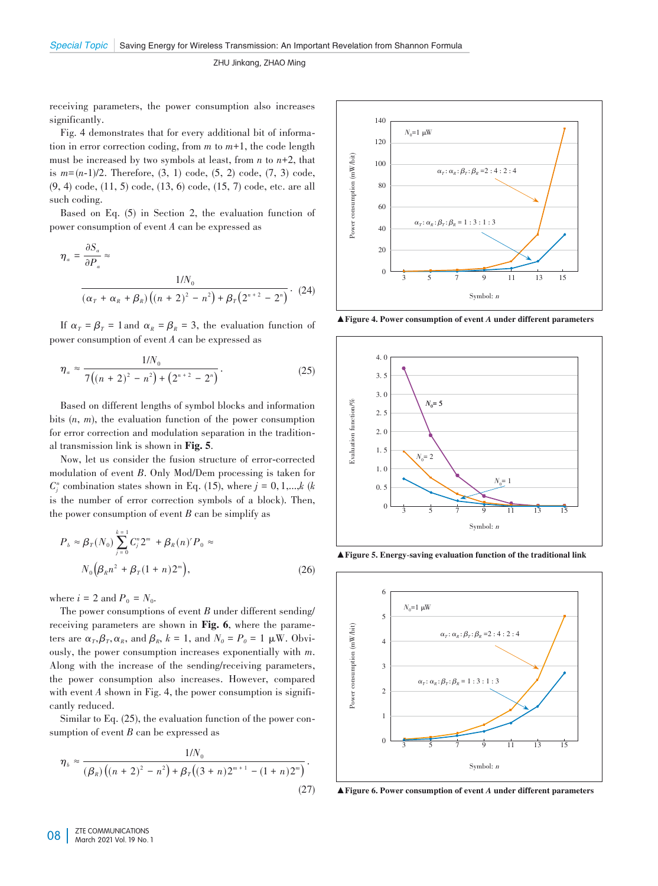receiving parameters, the power consumption also increases significantly.

Fig. 4 demonstrates that for every additional bit of information in error correction coding, from *m* to *m*+1, the code length must be increased by two symbols at least, from *n* to *n*+2, that is *m*=(*n*-1)/2. Therefore, (3, 1) code, (5, 2) code, (7, 3) code, (9, 4) code, (11, 5) code, (13, 6) code, (15, 7) code, etc. are all such coding.

Based on Eq. (5) in Section 2, the evaluation function of power consumption of event *A* can be expressed as

$$
\eta_a = \frac{\partial S_a}{\partial P_a} \approx \frac{1/N_0}{\left(\alpha_r + \alpha_R + \beta_R\right) \left((n+2)^2 - n^2\right) + \beta_r \left(2^{n+2} - 2^n\right)} \cdot (24)
$$

If  $\alpha_T = \beta_T = 1$  and  $\alpha_R = \beta_R = 3$ , the evaluation function of power consumption of event *A* can be expressed as

$$
\eta_a \approx \frac{1/N_0}{7\left((n+2)^2 - n^2\right) + \left(2^{n+2} - 2^n\right)}.
$$
\n(25)

Based on different lengths of symbol blocks and information bits (*n*, *m*), the evaluation function of the power consumption for error correction and modulation separation in the traditional transmission link is shown in Fig. 5.

Now, let us consider the fusion structure of error-corrected modulation of event *B*. Only Mod/Dem processing is taken for  $C_j^n$  combination states shown in Eq. (15), where  $j = 0, 1, \dots, k$  (*k* is the number of error correction symbols of a block). Then, the power consumption of event *B* can be simplify as

$$
P_b \approx \beta_T(N_0) \sum_{j=0}^{k=1} C_j^n 2^m + \beta_R(n)^r P_0 \approx
$$
  

$$
N_0 \left( \beta_R n^2 + \beta_T (1+n) 2^m \right),
$$
 (26)

where  $i = 2$  and  $P_0 = N_0$ .

The power consumptions of event *B* under different sending/ receiving parameters are shown in Fig. 6, where the parameters are  $\alpha_T$ ,  $\beta_T$ ,  $\alpha_R$ , and  $\beta_R$ ,  $k = 1$ , and  $N_0 = P_0 = 1$   $\mu$ W. Obviously, the power consumption increases exponentially with *m*. Along with the increase of the sending/receiving parameters, the power consumption also increases. However, compared with event  $A$  shown in Fig. 4, the power consumption is significantly reduced.

Similar to Eq.  $(25)$ , the evaluation function of the power consumption of event *B* can be expressed as

$$
\eta_b \approx \frac{1/N_0}{(\beta_R)\left((n+2)^2 - n^2\right) + \beta_T\left((3+n)2^{m+1} - (1+n)2^m\right)}.
$$
\n(27)



▲Figure 4. Power consumption of event *A* under different parameters



▲ Figure 5. Energy-saving evaluation function of the traditional link



▲Figure 6. Power consumption of event *A* under different parameters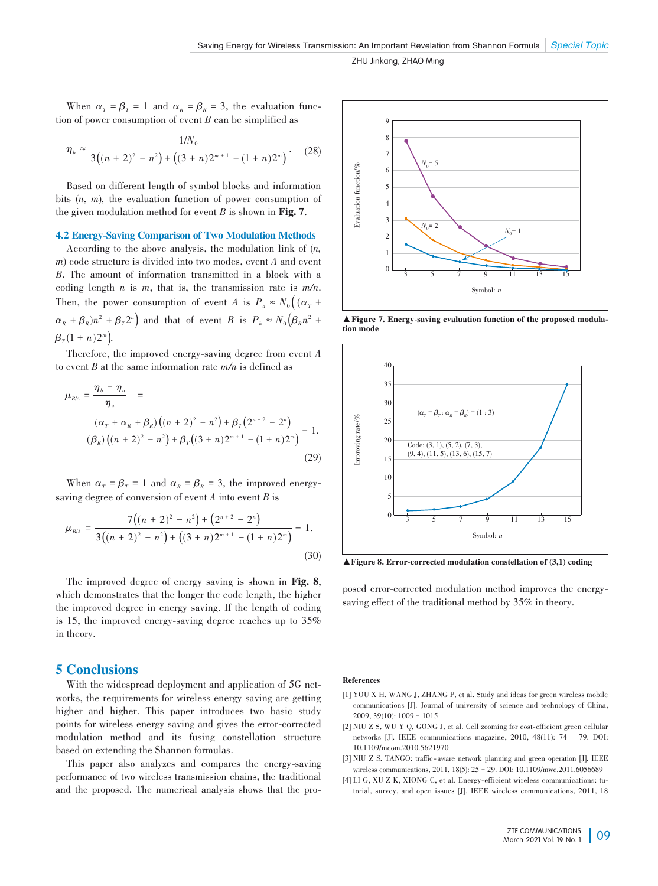When  $\alpha_T = \beta_T = 1$  and  $\alpha_R = \beta_R = 3$ , the evaluation function of power consumption of event *B* can be simplified as

$$
\eta_b \approx \frac{1/N_0}{3((n+2)^2 - n^2) + ((3+n)2^{m+1} - (1+n)2^m)}.
$$
 (28)

Based on different length of symbol blocks and information bits (*n*, *m*)*,* the evaluation function of power consumption of the given modulation method for event *B* is shown in Fig. 7.

#### 4.2 Energy-Saving Comparison of Two Modulation Methods

According to the above analysis, the modulation link of (*n, m*) code structure is divided into two modes, event *A* and event *B*. The amount of information transmitted in a block with a coding length *n* is *m*, that is, the transmission rate is *m/n*. Then, the power consumption of event *A* is  $P_a \approx N_0 \left( (\alpha_T +$  $\alpha_R + \beta_R$ ) $n^2 + \beta_T 2^n$  and that of event *B* is  $P_b \approx N_0 (\beta_R n^2 + \beta_T 2^n)$  $\beta_T (1 + n) 2^m$ ).

Therefore, the improved energy-saving degree from event *A* to event *B* at the same information rate *m/n* is defined as

$$
\mu_{BA} = \frac{\eta_b - \eta_a}{\eta_a} =
$$
\n
$$
\frac{(\alpha_r + \alpha_R + \beta_R)((n+2)^2 - n^2) + \beta_r(2^{n+2} - 2^n)}{(\beta_R)((n+2)^2 - n^2) + \beta_r((3+n)2^{m+1} - (1+n)2^m)} - 1.
$$
\n(29)

When  $\alpha_T = \beta_T = 1$  and  $\alpha_R = \beta_R = 3$ , the improved energysaving degree of conversion of event *A* into event *B* is

$$
\mu_{B/A} = \frac{7\left((n+2)^2 - n^2\right) + \left(2^{n+2} - 2^n\right)}{3\left((n+2)^2 - n^2\right) + \left((3+n)2^{m+1} - (1+n)2^m\right)} - 1.
$$
\n(30)

The improved degree of energy saving is shown in Fig. 8, which demonstrates that the longer the code length, the higher the improved degree in energy saving. If the length of coding is 15, the improved energy-saving degree reaches up to 35% in theory.

# 5 Conclusions

With the widespread deployment and application of 5G networks, the requirements for wireless energy saving are getting higher and higher. This paper introduces two basic study points for wireless energy saving and gives the error-corrected modulation method and its fusing constellation structure based on extending the Shannon formulas.

This paper also analyzes and compares the energy-saving performance of two wireless transmission chains, the traditional and the proposed. The numerical analysis shows that the pro-



▲ Figure 7. Energy-saving evaluation function of the proposed modula tion mode



 $\blacktriangle$  Figure 8. Error-corrected modulation constellation of (3,1) coding

posed error-corrected modulation method improves the energysaving effect of the traditional method by 35% in theory.

#### References

- [1] YOU X H, WANG J, ZHANG P, et al. Study and ideas for green wireless mobile communications [J]. Journal of university of science and technology of China,  $2009$ ,  $39(10)$ :  $1009 - 1015$
- [2] NIU Z S, WU Y Q, GONG J, et al. Cell zooming for cost-efficient green cellular networks [J]. IEEE communications magazine, 2010, 48(11): 74 – 79. DOI: 10.1109/mcom.2010.5621970
- [3] NIU Z S. TANGO: traffic-aware network planning and green operation [J]. IEEE wireless communications, 2011, 18(5): 25 - 29. DOI: 10.1109/mwc.2011.6056689
- [4] LI G, XU Z K, XIONG C, et al. Energy-efficient wireless communications: tutorial, survey, and open issues [J]. IEEE wireless communications, 2011, 18